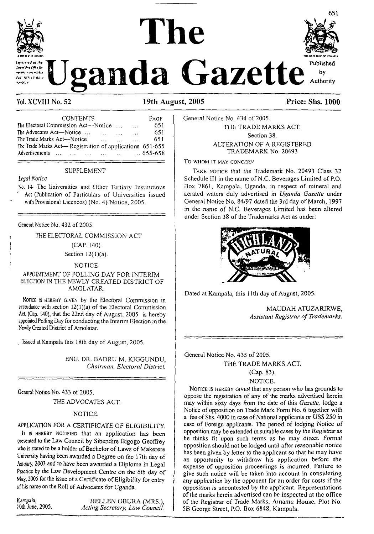

# **mi lhe**



**Vol. XCVIII No. 52 19th August, 2005 Price: Shs. 1000**

| <b>CONTENTS</b>                                                  | PAGE |
|------------------------------------------------------------------|------|
| The Electoral Commission Act—Notice<br>$\sim 100$<br>$\sim$      | 651  |
| The Advocates Act-Notice<br>$\cdots$<br><b>Contract Contract</b> | 651  |
| The Trade Marks Act—Notice<br>$\sim$                             | 651  |
| The Trade Marks Act— Registration of applications 651-655        |      |
| Advertisements       655-658                                     |      |
|                                                                  |      |

#### SUPPLEMENT

# *Legal Notice*

Xo. <sup>14</sup>—The Universities and Other Tertiary Institutions Act (Publication of Particulars of Universities issued with Provisional Licences) (No. 4) Notice, 2005.

General Notice No. 432 of 2005.

THE ELECTORAL COMMISSION ACT

(CAP. 140)

Section  $12(1)(a)$ .

### NOTICE

#### APPOINTMENT OF POLLING DAY FOR INTERIM ELECTION IN THE NEWLY CREATED DISTRICT OF AMOLATAR.

Nonce is HEREBY GIVEN by the Electoral Commission in accordance with section  $12(1)(a)$  of the Electoral Commission Act, (Cap. 140), that the 22nd day of August, 2005 is hereby appointed Polling Day for conducting the Interim Election in the Newly Created District of Amolatar.

, Issued at Kampala this 18th day of August, 2005.

ENG. DR. BADRU M. KIGGUNDU, *Chairman, Electoral District.*

General Notice No. 433 of 2005.

THE ADVOCATES ACT.

#### NOTICE.

#### APPLICATION FOR A CERTIFICATE OF ELIGIBILITY.

It is HEREBY NOTIFIED that an application has been presented to the Law Council by Sibendire Bigogo Geoffrey who is stated to be a holder of Bachelor of Laws of Makerere University having been awarded a Degree on the 17th day of January, 2003 and to have been awarded a Diploma in Legal Practice by the Law Development Centre on the 6th day of May, 2005 for the issue of a Certificate of Eligibility for entry of his name on the Roll of Advocates for Uganda.

Kampala, **HELLEN OBURA (MRS.)**,<br>
19th June, 2005. *Acting Secretary. Law Council* 10th June, 2005. *Acting Secretary, Law Council.* General Notice No. 434 of 2005. THE TRADE MARKS ACT. Section 38. ALTERATION OF A REGISTERED TRADEMARK No. 20493

**To WHOM IT MAY CONCERN**

TAKE NOTICE that the Trademark No. 20493 Class 32 Schedule III in the name of N.C. Beverages Limited of P.O. Box 7861, Kampala, Uganda, in respect of mineral and aerated waters duly advertised in *Uganda Gazette* under General Notice No. 84/97 dated the 3rd day of March, 1997 in the name of N.C. Beverages Limited has been altered under Section 38 of the Trademarks Act as under:



Dated at Kampala, this 11th day of August, 2005.

MAUDAH ATUZARIRWE, *Assistant Registrar ofTrademarks.*

General Notice No. 435 of 2005.

#### THE TRADE MARKS ACT.

#### (Cap. 83).

#### NOTICE.

Notice is hereby given that any person who has grounds to oppose the registration of any of the marks advertised herein may within sixty days from the date of this *Gazette,* lodge a Notice of opposition on Trade Mark Form No. 6 together with a fee of Shs. 4000 in case of National applicants or USS 250 in case of Foreign applicants. The period of lodging Notice of opposition may be extended in suitable cases by the Registrar as he thinks fit upon such terms as he may direct. Formal opposition should not be lodged until after reasonable notice has been given by letter to the applicant so that he may have an opportunity to withdraw his application before the expense of opposition proceedings is incurred. Failure to give such notice will be taken into account in considering any application by the opponent for an order for costs if the opposition is uncontcsted by the applicant. Representations ofthe marks herein advertised can be inspected at the office of the Registrar of Trade Marks, Atnamu House. Plot No. 5B George Street, P.O. Box 6848, Kampala.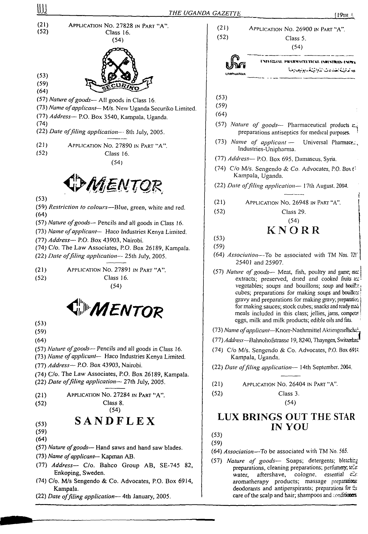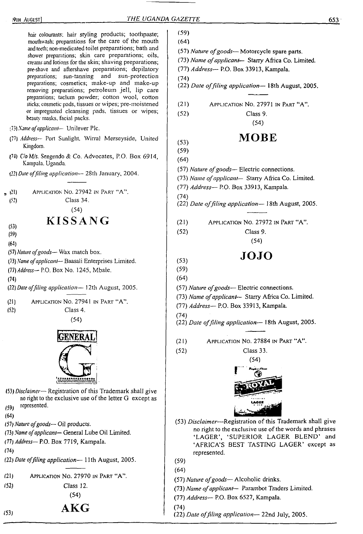————

 $\sim$ 

| hair colourants; hair styling products; toothpaste;<br>mouthwash; preparations for the care of the mouth<br>and teeth; non-medicated toilet preparations; bath and<br>shower preparations; skin care preparations; oils,<br>creams and lotions for the skin; shaving preparations;<br>pre-shave and aftershave preparations; depilatory<br>preparations; sun-tanning and sun-protection<br>preparations; cosmetics; make-up and make-up<br>removing preparations; petroleum jell, lip care<br>preparations; taclum powder; cotton wool, cotton<br>sticks; cosmetic pads, tissues or wipes; pre-moistened<br>or impregnated cleansing pads, tissues or wipes;<br>beauty masks, facial packs. | (59)<br>(64)<br>(57) Nature of goods-- Motorcycle spare parts.<br>(73) Name of applicant- Starry Africa Co. Limited.<br>(77) Address- P.O. Box 33913, Kampala.<br>(74)<br>(22) Date of filing application-18th August, 2005.<br>APPLICATION NO. 27971 IN PART "A".<br>(21)<br>(52)<br>Class 9.<br>(54) |
|---------------------------------------------------------------------------------------------------------------------------------------------------------------------------------------------------------------------------------------------------------------------------------------------------------------------------------------------------------------------------------------------------------------------------------------------------------------------------------------------------------------------------------------------------------------------------------------------------------------------------------------------------------------------------------------------|--------------------------------------------------------------------------------------------------------------------------------------------------------------------------------------------------------------------------------------------------------------------------------------------------------|
| (73) Name of applicant-- Unilever Plc.                                                                                                                                                                                                                                                                                                                                                                                                                                                                                                                                                                                                                                                      |                                                                                                                                                                                                                                                                                                        |
| (77) Address-- Port Sunlight, Wirral Merseyside, United<br>Kingdom.                                                                                                                                                                                                                                                                                                                                                                                                                                                                                                                                                                                                                         | <b>MOBE</b><br>(53)<br>(59)                                                                                                                                                                                                                                                                            |
| (74) C/o M/s. Sengendo & Co. Advocates, P.O. Box 6914,<br>Kampala, Uganda.                                                                                                                                                                                                                                                                                                                                                                                                                                                                                                                                                                                                                  | (64)                                                                                                                                                                                                                                                                                                   |
| (22) Date of filing application-28th January, 2004.                                                                                                                                                                                                                                                                                                                                                                                                                                                                                                                                                                                                                                         | (57) Nature of goods- Electric connections.<br>(73) Name of applicant- Starry Africa Co. Limited.<br>(77) Address- P.O. Box 33913, Kampala.                                                                                                                                                            |
| APPLICATION NO. 27942 IN PART "A".<br>$=$ (21)<br>Class 34.<br>(52)<br>(54)                                                                                                                                                                                                                                                                                                                                                                                                                                                                                                                                                                                                                 | (74)<br>(22) Date of filing application-18th August, 2005.                                                                                                                                                                                                                                             |
| <b>KISSANG</b>                                                                                                                                                                                                                                                                                                                                                                                                                                                                                                                                                                                                                                                                              | APPLICATION NO. 27972 IN PART "A".<br>(21)                                                                                                                                                                                                                                                             |
| (53)<br>(59)                                                                                                                                                                                                                                                                                                                                                                                                                                                                                                                                                                                                                                                                                | (52)<br>Class 9.<br>(54)                                                                                                                                                                                                                                                                               |
| (64)<br>(57) Nature of goods- Wax match box.                                                                                                                                                                                                                                                                                                                                                                                                                                                                                                                                                                                                                                                |                                                                                                                                                                                                                                                                                                        |
| (73) Name of applicant- Baasali Enterprises Limited.<br>(77) Address-P.O. Box No. 1245, Mbale.<br>(74)                                                                                                                                                                                                                                                                                                                                                                                                                                                                                                                                                                                      | <b>JOJO</b><br>(53)<br>(59)<br>(64)                                                                                                                                                                                                                                                                    |
| (22) Date of filing application-12th August, 2005.                                                                                                                                                                                                                                                                                                                                                                                                                                                                                                                                                                                                                                          | (57) Nature of goods-Electric connections.                                                                                                                                                                                                                                                             |
| APPLICATION NO. 27941 IN PART "A".<br>(21)<br>(52)<br>Class 4.                                                                                                                                                                                                                                                                                                                                                                                                                                                                                                                                                                                                                              | (73) Name of applicant- Starry Africa Co. Limited.<br>(77) Address- P.O. Box 33913, Kampala.                                                                                                                                                                                                           |
| (54)                                                                                                                                                                                                                                                                                                                                                                                                                                                                                                                                                                                                                                                                                        | (74)<br>(22) Date of filing application-18th August, 2005.                                                                                                                                                                                                                                             |
| <b>GENERAL</b>                                                                                                                                                                                                                                                                                                                                                                                                                                                                                                                                                                                                                                                                              | APPLICATION NO. 27884 IN PART "A".<br>(21)                                                                                                                                                                                                                                                             |
|                                                                                                                                                                                                                                                                                                                                                                                                                                                                                                                                                                                                                                                                                             | (52)<br>Class 33.                                                                                                                                                                                                                                                                                      |
|                                                                                                                                                                                                                                                                                                                                                                                                                                                                                                                                                                                                                                                                                             | (54)                                                                                                                                                                                                                                                                                                   |
|                                                                                                                                                                                                                                                                                                                                                                                                                                                                                                                                                                                                                                                                                             | سندام د شپ<br>3                                                                                                                                                                                                                                                                                        |
|                                                                                                                                                                                                                                                                                                                                                                                                                                                                                                                                                                                                                                                                                             |                                                                                                                                                                                                                                                                                                        |
| (53) Disclaimer— Registration of this Trademark shall give<br>no right to the exclusive use of the letter G except as<br>represented.<br>(59)                                                                                                                                                                                                                                                                                                                                                                                                                                                                                                                                               |                                                                                                                                                                                                                                                                                                        |
| (64)                                                                                                                                                                                                                                                                                                                                                                                                                                                                                                                                                                                                                                                                                        | (53) Disclaimer---Registration of this Trademark shall give                                                                                                                                                                                                                                            |
| (57) Nature of goods-Oil products.<br>(73) Name of applicant-General Lube Oil Limited.                                                                                                                                                                                                                                                                                                                                                                                                                                                                                                                                                                                                      | no right to the exclusive use of the words and phrases                                                                                                                                                                                                                                                 |
| (77) Address- P.O. Box 7719, Kampala.                                                                                                                                                                                                                                                                                                                                                                                                                                                                                                                                                                                                                                                       | 'LAGER', 'SUPERIOR LAGER BLEND' and                                                                                                                                                                                                                                                                    |
| (74)                                                                                                                                                                                                                                                                                                                                                                                                                                                                                                                                                                                                                                                                                        | 'AFRICA'S BEST TASTING LAGER' except as<br>represented.                                                                                                                                                                                                                                                |
| (22) Date of filing application-11th August, 2005.                                                                                                                                                                                                                                                                                                                                                                                                                                                                                                                                                                                                                                          | (59)                                                                                                                                                                                                                                                                                                   |
| APPLICATION NO. 27970 IN PART "A".                                                                                                                                                                                                                                                                                                                                                                                                                                                                                                                                                                                                                                                          | (64)                                                                                                                                                                                                                                                                                                   |
| (21)<br>(52)<br>Class 12.                                                                                                                                                                                                                                                                                                                                                                                                                                                                                                                                                                                                                                                                   | (57) Nature of goods-Alcoholic drinks.                                                                                                                                                                                                                                                                 |
| (54)                                                                                                                                                                                                                                                                                                                                                                                                                                                                                                                                                                                                                                                                                        | (73) Name of applicant- Parambot Traders Limited.                                                                                                                                                                                                                                                      |
|                                                                                                                                                                                                                                                                                                                                                                                                                                                                                                                                                                                                                                                                                             | (77) Address- P.O. Box 6527, Kampala.<br>(74)                                                                                                                                                                                                                                                          |
| ${\bf AKG}$<br>(53)                                                                                                                                                                                                                                                                                                                                                                                                                                                                                                                                                                                                                                                                         | (22) Date of filing application-22nd July, 2005.                                                                                                                                                                                                                                                       |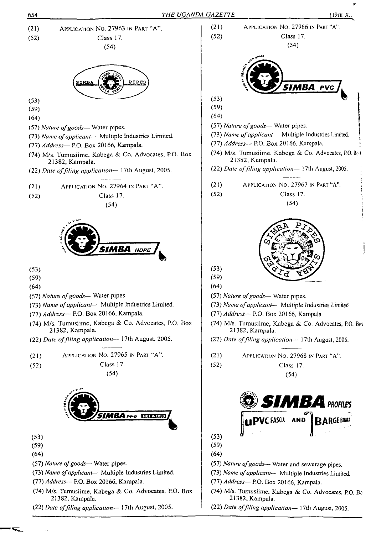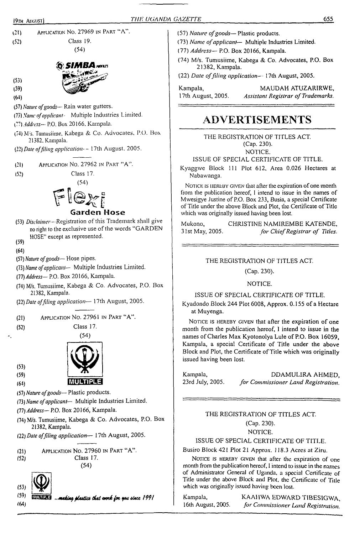<31) Application No. 27969 in Part "A". Class 19. (52)

 $(54)$ 

# **SIMBA** nous

- (53)
- (59)
- (W)
- (57) *Natwt ofgoods—* Rain water gutters.
- (73) *Name ofapplicant-* Multiple Industries Limited.
- *(??) address—* P.O. Box 20166. Kampala.
- (74) M's. Tumusiime, Kabega & Co. Advocates, P.O. Box 21382. Kampala.
- (22) *Date offiling application- -* 17th August. 2005.
- (21) Application No. 27962 in Part "A".
- (52) Class 17.

(54)

# $F$ lexi **Garden Hose**

- (53) *Disclaimer-*Registration ofthis Trademark shall give no right to the exclusive use of the words "GARDEN HOSE" except as represented.
- (59)
- (64)
- (57) *Nature ofgoods—* Hose pipes.
- (73) *Name ofapplicant—* Multiple Industries Limited.
- (77) *Address—* P.O. Box 20166, Kampala.
- (74) M/s. Tumusiime, Kabega & Co. Advocates, P.O. Box 21382, Kampala.
- (22) *Date offiling application—* 17th August, 2005.
- (21) Application No. 27961 in Part "A".
- (52) Class 17.

(54)



(59)

(53)

- (64)
- (57) *Nature ofgoods—* Plastic products.
- (73) *Name ofapplicant—* Multiple Industries Limited.
- *(IT) Address—* P.O. Box 20166, Kampala.
- (74) M/s. Tumusiime, Kabega & Co. Advocates, P.O. Box 21382, Kampala.
- (22) *Date offiling application—* 17th August, 2005.
- (21) Application No. 27960 in Part "A\*'. (52) Class 17. (54)



/64)

(59) **QUARES** ... making plastics that work for you since 1991

- (57) *Nature ofgoods—* Plastic products.
- (73) *Name ofapplicant—* Multiple Industries Limited.
- (77) *Address—* P.O. Box 20166, Kampala.
- (74) M/s. Tumusiime, Kabega & Co. Advocates, P.O. Box 21382, Kampala.
- (22) *Date offiling application—* 17th August, 2005.

Kampala, MAUDAH ATUZARIRWE, 17th August, 2005. *Assistant Registrar ofTrademarks.*

# **ADVERTISEMENTS**

THE REGISTRATION OF TITLES ACT. (Cap. 230). NOTICE.

ISSUE OF SPECIAL CERTIFICATE OF TITLE.

Kyaggwe Block 111 Plot 612, Area 0.026 Hectares at Nabawanga.

NOTICE IS HEREBY GIVEN that after the expiration of one month from the publication hereof, <sup>I</sup> intend to issue in the names of Mwesigye Justine of P.O. Box 233, Busia, a special Certificate of Title under the above Block and Plot, the Certificate of Title which was originally issued having been lost.

Mukono, CHRISTINE NAMIREMBE KATENDE, 31st May, 2005. *for ChiefRegistrar of Titles.*

THE REGISTRATION OF TITLES ACT.

(Cap. 230).

NOTICE.

ISSUE OF SPECIAL CERTIFICATE OF TITLE.

Kyadondo Block 244 Plot 6008, Approx. 0.155 of a Hectare at Muyenga.

NOTICE IS HEREBY GIVEN that after the expiration of one month from the publication hereof, I intend to issue in the names of Charles Max Kyotonolya Lule of P.O. Box 16059, Kampala, a special Certificate of Title under the above Block and Plot, the Certificate of Title which was originally issued having been lost.

Kampala, DDAMULIRA AHMED, 23rd July, 2005. *for Commissioner Land Registration.*

# THE REGISTRATION OF TITLES ACT. (Cap. 230). NOTICE.

ISSUE OF SPECIAL CERTIFICATE OF TITLE.

Busiro Block 421 Plot 21 Approx. 118.3 Acres at Ziru.

NOTICE IS HEREBY GIVEN that after the expiration of one month from the publication hereof, <sup>I</sup> intend to issue in the names of Administrator General of Uganda, a special Certificate of Title under the above Block and Plot, the Certificate of Title which was originally issued having been lost.

Kampala, KAAlIWA EDWARD TIBESIGWA, 16th August, 2005. *for Commissioner Land Registration.*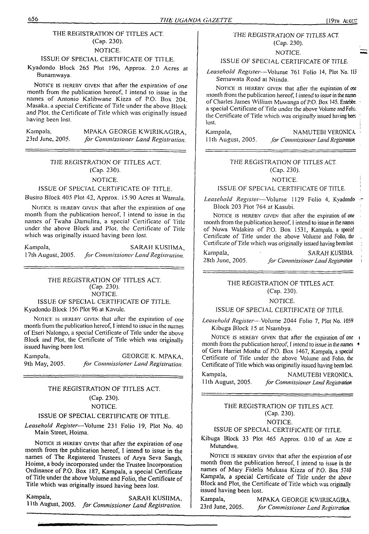# THE REGISTRATION OF TITLES ACT. (Cap. 230).

#### NOTICE.

# ISSUE OF SPECIAL CERTIFICATE OF TITLE.

Kyadondo Block 265 Plot 196, Approx. 2.0 Acres at Bunamwaya.

NOTICE IS HEREBY GIVEN that after the expiration of one month from the publication hereof, <sup>I</sup> intend to issue in the names of Antonio Kaltbwane Kizza of P.O. Box 204. Masaka, a special Certificate of Title under the above Block and Plot, the Certificate of Title which was originally issued having been lost.

Kampala. MPAKA GEORGE KW1RIKAGIRA, 23rd June, 2005. *for Commissioner Land Registration.*

# *THE REGISTRATION OF* TITLES ACT. (Cap. 230).

#### NOTICE.

#### ISSUE OF SPECIAL CERTIFICATE OF TITLE.

Busiro Block 405 Plot 42, Approx. 15.90 Acres at Wamala.

Notice is hereby given that after the expiration of one month from the publication hereof, <sup>I</sup> intend to issue in the names of Twaha Damulira, a special Certificate of Title under the above Block and Plot, the Certificate of Title which was originally issued having been lost.

Kampala, SARAH KUSIIMA, <sup>1</sup> 7th August, *2005. for Commissioner Land Registration.*

# *THE REGISTRATION OF* TITLES ACT. (Cap. 230). NOTICE. ISSUE OF SPECIAL CERTIFICATE OF TITLE.

Kyadondo Block 156 Plot 96 at Kavulc.

NOTICE IS HEREBY GIVEN that after the expiration of one month from the publication hereof, <sup>I</sup> intend to issue in the names of Eseri Nalongo, a special Certificate of Title under the above Block and Plot, the Certificate of Title which was originally issued having been lost.

Kampala, GEORGE K. MPAKA, 9th May, 2005. *for Commissioner Land Registration.*

# *THE* REGISTRATION OF TITLES ACT (Cap. 230). NOTICE.

# ISSUE OF SPECIAL CERTIFICATE OF TITLE.

*Leasehold Register*—Volume 231 Folio 19, Plot No. 40 Main Street, Hoima.

NOTICE IS HEREBY GIVEN that after the expiration of one month from the publication hereof, I intend to issue in the names of The Registered Trustees of Arya Seva Sangh, Hoima, a body incorporated under the Trustee Incorporation Ordinance of P.O. Box 187, Kampala, a special Certificate ofTitle under the above Volume and Folio, the Certificate of Title which was originally issued having been lost.

Kampala, SARAH KUSIIMA, 11th August, 2005. *for Commissioner Land Registration.*

### *THE* REGISTRATION OF TITLES ACT. (Cap. 230).

# NOTICE.

#### ISSUE OF SPECIAL CERTIFICATE OF TITLE.

*Leasehold Register—*Volume 761 Folio 14, Plot No. IB Semawata Road at Ntinda.

NOTICE IS HEREBY GIVEN that after the expiration of oxe month from the publication hereof, I intend to issue in the names of Charles James William Muwanga of P.O. Box 145, Entebbe, a special Certificate of Title under the above Volume and Folio, the Certificate of Title which was originally issued having been lost. lost. The contract of the contract of the contract of the contract of the contract of the contract of the contract of the contract of the contract of the contract of the contract of the contract of the contract of the cont

Kampala, NAMUTEBI VERONICA

<sup>11</sup> th August, 2005. *for Commissioner Land Registration*

#### *THE REGISTRATION* OF TITLES ACT. (Cap. 230).

#### NOTICE.

#### ISSUE OF SPECIAL CERTIFICATE OF TITLE.

*Leasehold Register—*Volume 1129 Folio 4, Kyadondo Block 203 Plot 764 at Kasubi.

NOTICE IS HEREBY GIVEN that after the expiration of one month from the publication hereof. I intend to issue in the names of Nuwa Walakira of P.O. Box 1531, Kampala, <sup>a</sup> special Certificate of Title under the above Volume and Folio, the Certificate of Title which was originally issued having been lost

Kampala, SARAH KUSIIMA. 28th June, *2005. for CommissionerLandRegistration*

#### THE REGISTRATION OF TITLES ACT. (Cap. 230).

# NOTICE.

### ISSUE OF SPECIAL CERTIFICATE OF TITLE.

*Leasehold Register—-*Volume 2044 Folio 7, Plot No. <sup>1059</sup> Kibuga Block 15 at Nsambya.

NOTICE IS HEREBY GIVEN that after the expiration of one i month from the publication hereof, <sup>I</sup> *intend to issue in the names «* of Gera Harriet Mosha of P.O. Box 1467, Kampala, a special Certificate of Title under the above Volume and Folio, the Certificate of Title which was originally issued having been lost.

Kampala, NAMUTEBI VERONICA. 11th August, 2005. *for Commissioner Land Registration*

# THE REGISTRATION OF TITLES ACT. (Cap. 230).

# NOTICE.

# ISSUE OF SPECIAL CERTIFICATE OF TITLE.

Kibuga Block 33 Plot 465 Approx. 0.10 of an Acre at Mutundwe.

NOTICE IS HEREBY GIVEN that after the expiration of one month from the publication hereof, I intend to issue in the names of Mary Fidelis Mukasa Kizza of P.O. Box <sup>5740</sup> Kampala, a special Certificate of Title under the above Block and Plot, the Certificate of Title which was originally issued having been lost.

Kampala, MPAKA GEORGE KWIRIKAGIRA. 23rd June, 2005. *for Commissioner Land Registration*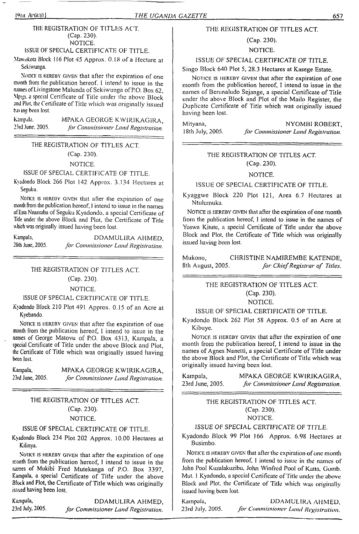# 19th ArGUSij *THE UGANDA GAZETTE* 657

### THE REGISTRATION OF TITLES ACT. (Cap. 230). NOTICE.

# ISSUE OF SPECIAL CERTIFICATE OF TITLE.

Mawukota Block <sup>1</sup><sup>16</sup> Plot *45* Approx. 0. IS of a Hectare at Sekiwunga.

NOTICE IS HEREBY GIVEN that after the expiration of one month from the publication hereof. <sup>I</sup> intend to issue in the names ofLivingstone Malunda of Sekiwunga ofP.O. Box 62, Mpigi, <sup>a</sup> special Certificate of Title under the above Block and Plot, the Certificate of Title which was originally issued ha\ ins been lost.

Kampala. MPAKA GEORGE KWIRIKAGIRA,<br>23rd June, 2005. for Commissioner Land Registration 23rd June. 2005. *for Commissioner Land Registration.*

# THE REGISTRATION OF TITLES ACT.

(Cap. 230).

NOTICE.

# ISSUE OF SPECIAL CERTIFICATE OF TITLE.

Kyadondo Block 266 Plot 142 Approx. 3.134 Hectares at Seguku.

NOTICE IS HEREBY GIVEN that after the expiration of one month from lite publication hereof, <sup>I</sup> intend to issue in the names of Esta Nnantaba of Seguku Kyadondo, a special Certificate of Title under the above Block and Plot, the Certificate of Title which was originally issued having been lost.

Kampala, DDAMULIRA AHMED, 28th June, 2005. *for Commissioner Land Registration.*

## THE REGISTRATION OF TITLES ACT.

(Cap. 230).

NOTICE.

# ISSUE OF SPECIAL CERTIFICATE OF TITLE.

Kyadondo Block 210 Plot 491 Approx. 0.15 of an Acre at Kyebando.

Notice is HEREBY GIVEN that after the expiration of one month from the publication hereof, <sup>I</sup> intend to issue in the names of George Matovu of P.O. Box 4313, Kampala, a special Certificate of Title under the above Block and Plot, the Certificate of Title which was originally issued having been lost.

Kampala, MPAKA GEORGE KWIRIKAGIRA, 23rd June, 2005. *for Commissioner Land Registration.*

# THE REGISTRATION OF TITLES ACT. (Cap. 230).

# NOTICE.

# ISSUE OF SPECIAL CERTIFICATE OF TITLE.

Kyadondo Block 234 Plot 202 Approx. 10.00 Hectares at Kilinya.

<sup>N</sup>otice is hereby given that after the expiration of one month from the publication hereof, I intend to issue in the names of Mukibi Fred Mutekanga of P.O. Box 3397, Kampala, a special Certificate of Title under the above Block and Plot, the Certificate of Title which was originally issued having been lost.

Kampala, DDAMULIRA AHMED,<br>23rd July, 2005. for Commissioner Land Registration. 23rd July, 2005. *for Commissioner Land Registration.*

# THE REGISTRATION OF TITLES ACT.

# (Cap. 230).

NOTICE.

# ISSUE OF SPECIAL CERTIFICATE OF TITLE.

Singo Block 640 Plot 5, 28.3 Hectares at Kasege Estate.

NOTICE IS HEREBY GIVEN that after the expiration of one month from the publication hereof, I intend to issue in the names of Berunaludo Sejange, a special Certificate of Title under the above Block and Plot of the Mailo Register, the Duplicate Certificate of Title which was originally issued having been lost.

Mityana, NYOMBI ROBERT, 18th July, 2005. *for Commissioner Land Registration*. <sup>1</sup>8th July, 2005. *for Commissioner Land Registration.*

# THE REGISTRATION OF TITLES ACT. (Cap. 230).

#### NOTICE.

ISSUE OF SPECIAL CERTIFICATE OF TITLE.

Kyaggwe Block 220 Plot 121, Area 6.7 Hectares at Ntulumuka.

NOTICE IS HEREBY GIVEN that after the expiration of one month from the publication hereof, <sup>I</sup> intend to issue in the names of Yoswa Kitute, a special Certificate of Title under the above Block and Plot, the Certificate of Title which was originally issued *having been* lost.

Mukono, CHRISTINE NAMIREMBE KATENDE, 8th August, 2005. *for ChiefRegistrar of Titles.*

# THE REGISTRATION OF TITLES ACT. (Cap. 230).

NOTICE.

# ISSUE OF SPECIAL CERTIFICATE OF TITLE.

Kyadondo Block 262 Plot 58 Approx. 0.5 of an Acre at Kibuye.

NOTICE IS HEREBY GIVEN that after the expiration of one month from the publication hereof, <sup>I</sup> intend to issue in the names of Agnes Nanetti, a special Certificate of Title under the above Block and Plot, the Certificate of Title which was originally issued having been lost.

Kampala, MPAKA GEORGE KWIRIKAGIRA, 23rd June, 2005. *for Commissioner Land Registration.*

> THE REGISTRATION OF TITLES ACT. (Cap. 230). NOTICE.

# ISSUE OF *SPECIAL CERTIFICATE OF* TITLE.

Kyadondo Block 99 Plot 166 Approx. 6.98 Hectares at Busimbo.

NOTICE IS HEREBY GIVEN that after the expiration of one month from the publication hereof, <sup>1</sup> intend to issue in the names of John Pool Kuzalakuzibu, John Winfred Pool of Katta, Gomb. Mut. 1 Kyadondo, a special Certificate of Title under the above Block and Plot, the Certificate of Title which was originally issued having been lost.

Kampala, DDAMULIRA AHMED,<br>23rd July, 2005. for Commissioner Land Registration. 23rd July. 2005. *for Commissioner Land Registration.*